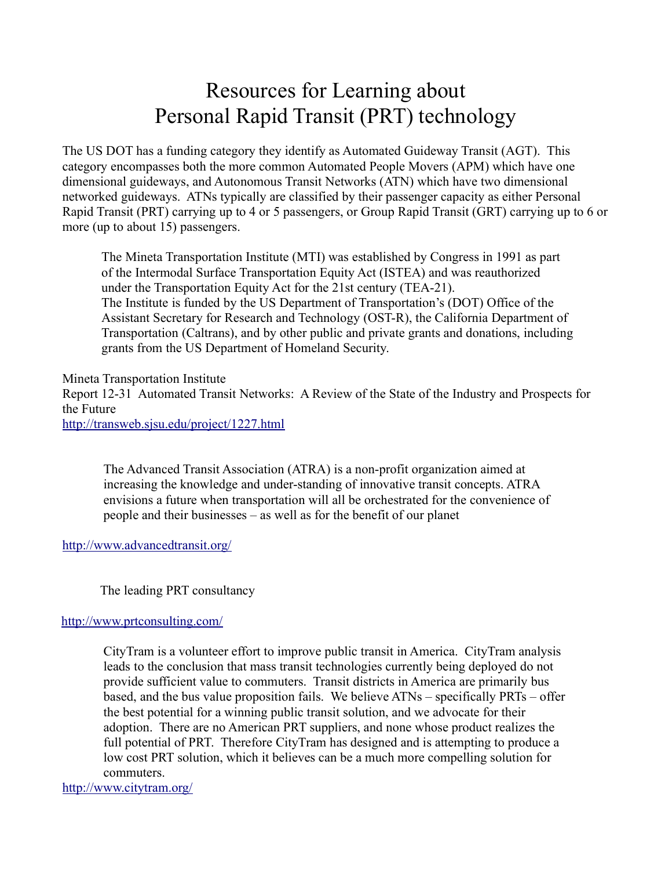## Resources for Learning about Personal Rapid Transit (PRT) technology

The US DOT has a funding category they identify as Automated Guideway Transit (AGT). This category encompasses both the more common Automated People Movers (APM) which have one dimensional guideways, and Autonomous Transit Networks (ATN) which have two dimensional networked guideways. ATNs typically are classified by their passenger capacity as either Personal Rapid Transit (PRT) carrying up to 4 or 5 passengers, or Group Rapid Transit (GRT) carrying up to 6 or more (up to about 15) passengers.

The Mineta Transportation Institute (MTI) was established by Congress in 1991 as part of the Intermodal Surface Transportation Equity Act (ISTEA) and was reauthorized under the Transportation Equity Act for the 21st century (TEA-21). The Institute is funded by the US Department of Transportation's (DOT) Office of the Assistant Secretary for Research and Technology (OST-R), the California Department of Transportation (Caltrans), and by other public and private grants and donations, including grants from the US Department of Homeland Security.

Mineta Transportation Institute Report 12-31 Automated Transit Networks: A Review of the State of the Industry and Prospects for the Future http://transweb.sjsu.edu/project/1227.html

The Advanced Transit Association (ATRA) is a non-profit organization aimed at increasing the knowledge and under-standing of innovative transit concepts. ATRA envisions a future when transportation will all be orchestrated for the convenience of people and their businesses – as well as for the benefit of our planet

http://www.advancedtransit.org/

The leading PRT consultancy

## http://www.prtconsulting.com/

CityTram is a volunteer effort to improve public transit in America. CityTram analysis leads to the conclusion that mass transit technologies currently being deployed do not provide sufficient value to commuters. Transit districts in America are primarily bus based, and the bus value proposition fails. We believe ATNs – specifically PRTs – offer the best potential for a winning public transit solution, and we advocate for their adoption. There are no American PRT suppliers, and none whose product realizes the full potential of PRT. Therefore CityTram has designed and is attempting to produce a low cost PRT solution, which it believes can be a much more compelling solution for commuters.

http://www.citytram.org/